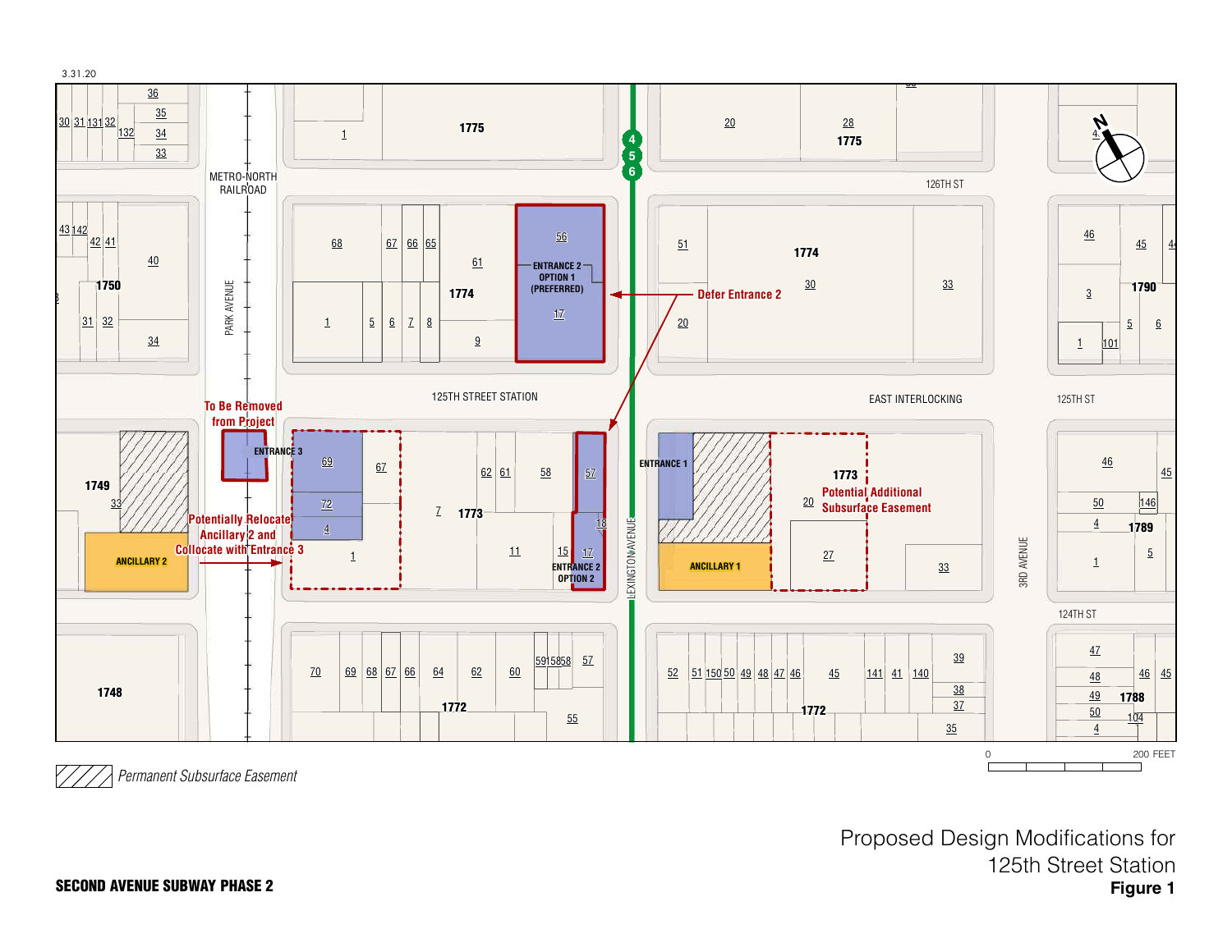

*Permanent Subsurface Easement*

**Figure 1** Proposed Design Modifications for 125th Street Station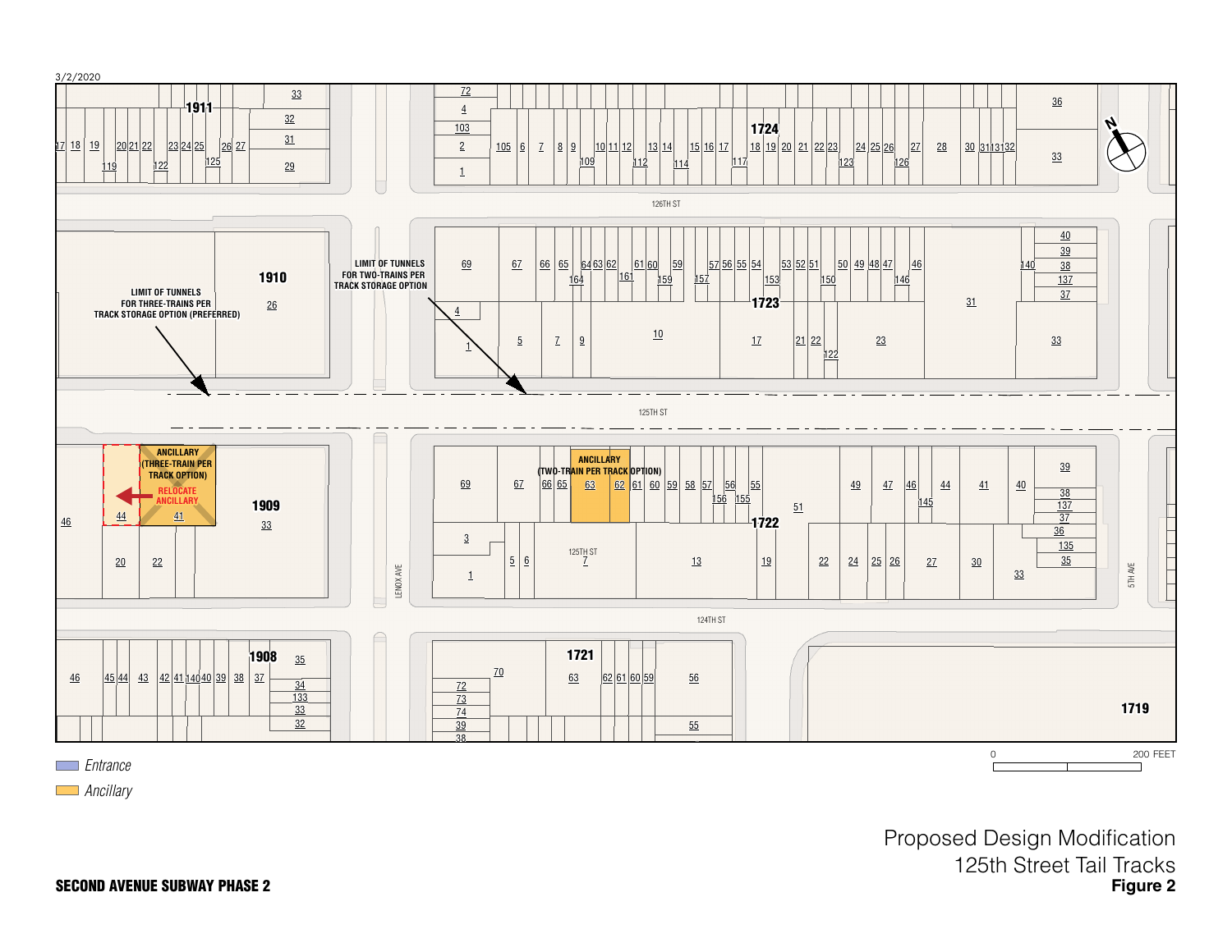

Proposed Design Modification 125th Street Tail Tracks **Figure 2**